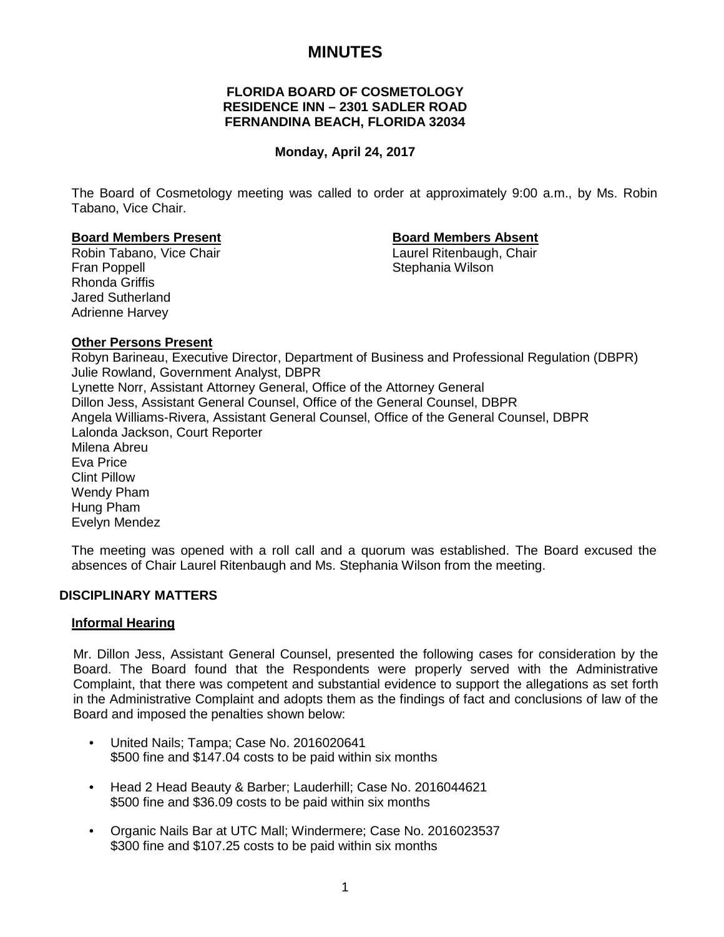# **MINUTES**

## **FLORIDA BOARD OF COSMETOLOGY RESIDENCE INN – 2301 SADLER ROAD FERNANDINA BEACH, FLORIDA 32034**

## **Monday, April 24, 2017**

The Board of Cosmetology meeting was called to order at approximately 9:00 a.m., by Ms. Robin Tabano, Vice Chair.

## **Board Members Present Board Members Absent**

Robin Tabano, Vice Chair **Laurel Ritenbaugh, Chair** Laurel Ritenbaugh, Chair Fran Poppell **Stephania Wilson** Rhonda Griffis Jared Sutherland Adrienne Harvey

## **Other Persons Present**

Robyn Barineau, Executive Director, Department of Business and Professional Regulation (DBPR) Julie Rowland, Government Analyst, DBPR Lynette Norr, Assistant Attorney General, Office of the Attorney General Dillon Jess, Assistant General Counsel, Office of the General Counsel, DBPR Angela Williams-Rivera, Assistant General Counsel, Office of the General Counsel, DBPR Lalonda Jackson, Court Reporter Milena Abreu Eva Price Clint Pillow Wendy Pham Hung Pham Evelyn Mendez

The meeting was opened with a roll call and a quorum was established. The Board excused the absences of Chair Laurel Ritenbaugh and Ms. Stephania Wilson from the meeting.

#### **DISCIPLINARY MATTERS**

#### **Informal Hearing**

Mr. Dillon Jess, Assistant General Counsel, presented the following cases for consideration by the Board. The Board found that the Respondents were properly served with the Administrative Complaint, that there was competent and substantial evidence to support the allegations as set forth in the Administrative Complaint and adopts them as the findings of fact and conclusions of law of the Board and imposed the penalties shown below:

- United Nails; Tampa; Case No. 2016020641 \$500 fine and \$147.04 costs to be paid within six months
- Head 2 Head Beauty & Barber; Lauderhill; Case No. 2016044621 \$500 fine and \$36.09 costs to be paid within six months
- Organic Nails Bar at UTC Mall; Windermere; Case No. 2016023537 \$300 fine and \$107.25 costs to be paid within six months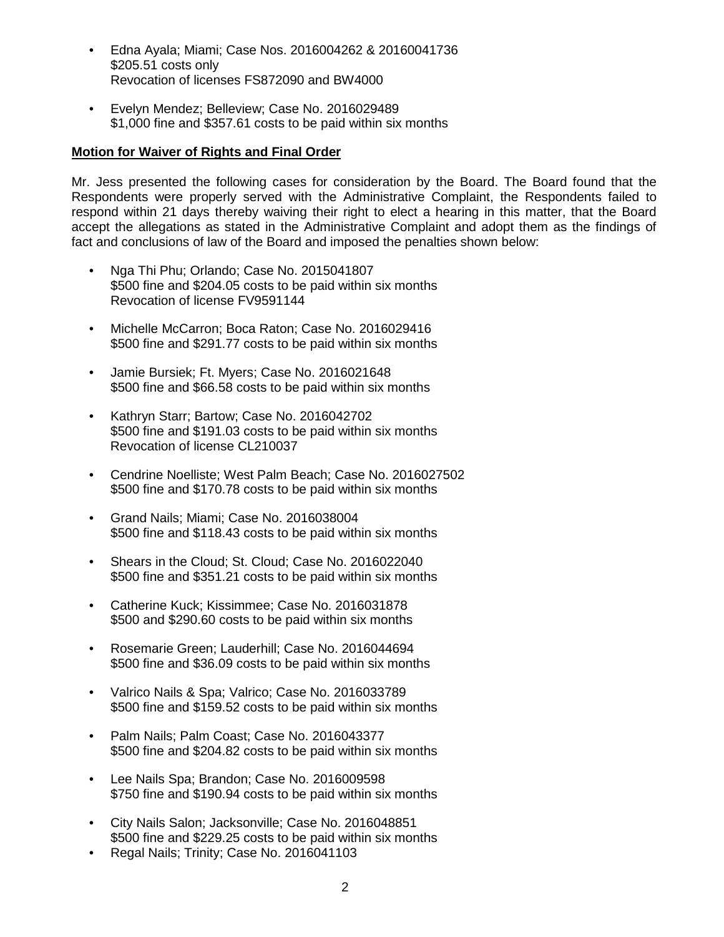- Edna Ayala; Miami; Case Nos. 2016004262 & 20160041736 \$205.51 costs only Revocation of licenses FS872090 and BW4000
- Evelyn Mendez; Belleview; Case No. 2016029489 \$1,000 fine and \$357.61 costs to be paid within six months

## **Motion for Waiver of Rights and Final Order**

Mr. Jess presented the following cases for consideration by the Board. The Board found that the Respondents were properly served with the Administrative Complaint, the Respondents failed to respond within 21 days thereby waiving their right to elect a hearing in this matter, that the Board accept the allegations as stated in the Administrative Complaint and adopt them as the findings of fact and conclusions of law of the Board and imposed the penalties shown below:

- Nga Thi Phu; Orlando; Case No. 2015041807 \$500 fine and \$204.05 costs to be paid within six months Revocation of license FV9591144
- Michelle McCarron; Boca Raton; Case No. 2016029416 \$500 fine and \$291.77 costs to be paid within six months
- Jamie Bursiek; Ft. Myers; Case No. 2016021648 \$500 fine and \$66.58 costs to be paid within six months
- Kathryn Starr; Bartow; Case No. 2016042702 \$500 fine and \$191.03 costs to be paid within six months Revocation of license CL210037
- Cendrine Noelliste; West Palm Beach; Case No. 2016027502 \$500 fine and \$170.78 costs to be paid within six months
- Grand Nails; Miami; Case No. 2016038004 \$500 fine and \$118.43 costs to be paid within six months
- Shears in the Cloud; St. Cloud; Case No. 2016022040 \$500 fine and \$351.21 costs to be paid within six months
- Catherine Kuck; Kissimmee; Case No. 2016031878 \$500 and \$290.60 costs to be paid within six months
- Rosemarie Green; Lauderhill; Case No. 2016044694 \$500 fine and \$36.09 costs to be paid within six months
- Valrico Nails & Spa; Valrico; Case No. 2016033789 \$500 fine and \$159.52 costs to be paid within six months
- Palm Nails; Palm Coast; Case No. 2016043377 \$500 fine and \$204.82 costs to be paid within six months
- Lee Nails Spa; Brandon; Case No. 2016009598 \$750 fine and \$190.94 costs to be paid within six months
- City Nails Salon; Jacksonville; Case No. 2016048851 \$500 fine and \$229.25 costs to be paid within six months
- Regal Nails; Trinity; Case No. 2016041103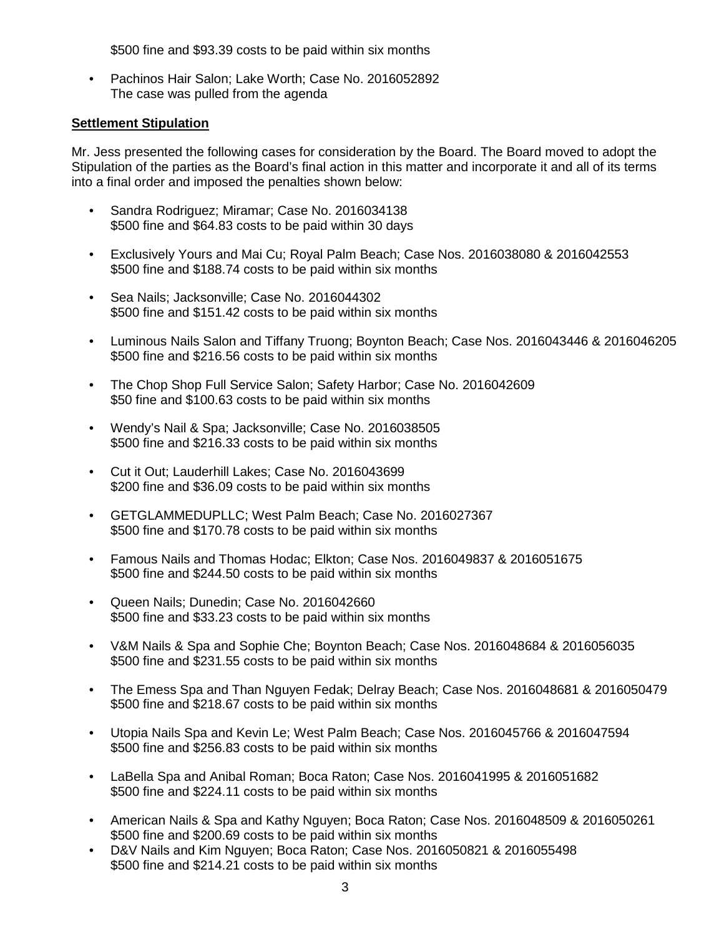\$500 fine and \$93.39 costs to be paid within six months

• Pachinos Hair Salon; Lake Worth; Case No. 2016052892 The case was pulled from the agenda

## **Settlement Stipulation**

Mr. Jess presented the following cases for consideration by the Board. The Board moved to adopt the Stipulation of the parties as the Board's final action in this matter and incorporate it and all of its terms into a final order and imposed the penalties shown below:

- Sandra Rodriguez; Miramar; Case No. 2016034138 \$500 fine and \$64.83 costs to be paid within 30 days
- Exclusively Yours and Mai Cu; Royal Palm Beach; Case Nos. 2016038080 & 2016042553 \$500 fine and \$188.74 costs to be paid within six months
- Sea Nails; Jacksonville; Case No. 2016044302 \$500 fine and \$151.42 costs to be paid within six months
- Luminous Nails Salon and Tiffany Truong; Boynton Beach; Case Nos. 2016043446 & 2016046205 \$500 fine and \$216.56 costs to be paid within six months
- The Chop Shop Full Service Salon; Safety Harbor; Case No. 2016042609 \$50 fine and \$100.63 costs to be paid within six months
- Wendy's Nail & Spa; Jacksonville; Case No. 2016038505 \$500 fine and \$216.33 costs to be paid within six months
- Cut it Out; Lauderhill Lakes; Case No. 2016043699 \$200 fine and \$36.09 costs to be paid within six months
- GETGLAMMEDUPLLC; West Palm Beach; Case No. 2016027367 \$500 fine and \$170.78 costs to be paid within six months
- Famous Nails and Thomas Hodac; Elkton; Case Nos. 2016049837 & 2016051675 \$500 fine and \$244.50 costs to be paid within six months
- Queen Nails; Dunedin; Case No. 2016042660 \$500 fine and \$33.23 costs to be paid within six months
- V&M Nails & Spa and Sophie Che; Boynton Beach; Case Nos. 2016048684 & 2016056035 \$500 fine and \$231.55 costs to be paid within six months
- The Emess Spa and Than Nguyen Fedak; Delray Beach; Case Nos. 2016048681 & 2016050479 \$500 fine and \$218.67 costs to be paid within six months
- Utopia Nails Spa and Kevin Le; West Palm Beach; Case Nos. 2016045766 & 2016047594 \$500 fine and \$256.83 costs to be paid within six months
- LaBella Spa and Anibal Roman; Boca Raton; Case Nos. 2016041995 & 2016051682 \$500 fine and \$224.11 costs to be paid within six months
- American Nails & Spa and Kathy Nguyen; Boca Raton; Case Nos. 2016048509 & 2016050261 \$500 fine and \$200.69 costs to be paid within six months
- D&V Nails and Kim Nguyen; Boca Raton; Case Nos. 2016050821 & 2016055498 \$500 fine and \$214.21 costs to be paid within six months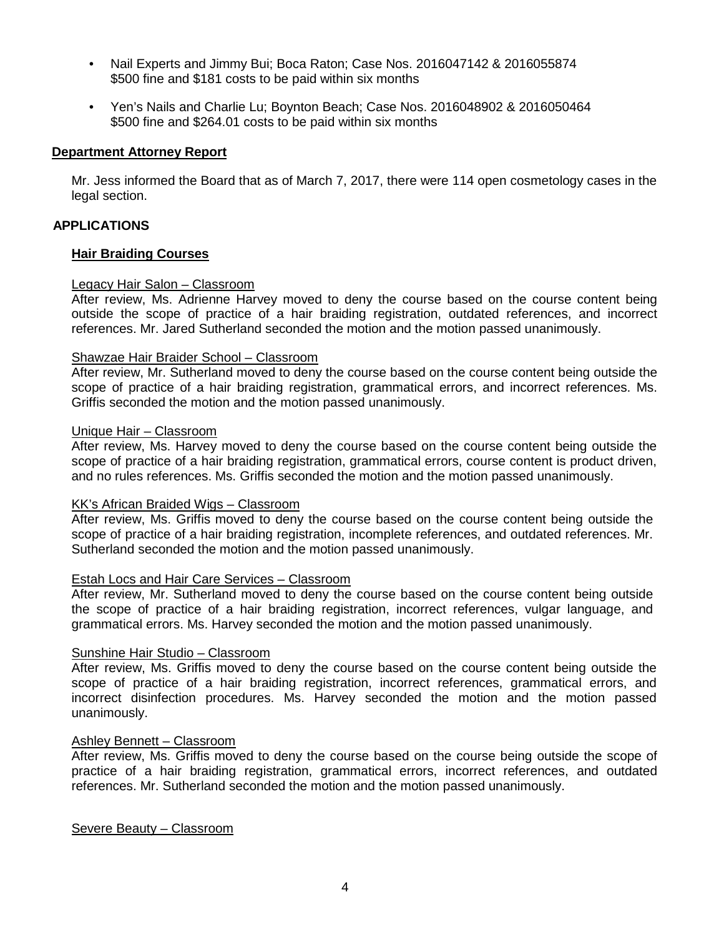- Nail Experts and Jimmy Bui; Boca Raton; Case Nos. 2016047142 & 2016055874 \$500 fine and \$181 costs to be paid within six months
- Yen's Nails and Charlie Lu; Boynton Beach; Case Nos. 2016048902 & 2016050464 \$500 fine and \$264.01 costs to be paid within six months

## **Department Attorney Report**

Mr. Jess informed the Board that as of March 7, 2017, there were 114 open cosmetology cases in the legal section.

## **APPLICATIONS**

#### **Hair Braiding Courses**

#### Legacy Hair Salon – Classroom

After review, Ms. Adrienne Harvey moved to deny the course based on the course content being outside the scope of practice of a hair braiding registration, outdated references, and incorrect references. Mr. Jared Sutherland seconded the motion and the motion passed unanimously.

#### Shawzae Hair Braider School – Classroom

After review, Mr. Sutherland moved to deny the course based on the course content being outside the scope of practice of a hair braiding registration, grammatical errors, and incorrect references. Ms. Griffis seconded the motion and the motion passed unanimously.

#### Unique Hair – Classroom

After review, Ms. Harvey moved to deny the course based on the course content being outside the scope of practice of a hair braiding registration, grammatical errors, course content is product driven, and no rules references. Ms. Griffis seconded the motion and the motion passed unanimously.

#### KK's African Braided Wigs – Classroom

After review, Ms. Griffis moved to deny the course based on the course content being outside the scope of practice of a hair braiding registration, incomplete references, and outdated references. Mr. Sutherland seconded the motion and the motion passed unanimously.

#### Estah Locs and Hair Care Services – Classroom

After review, Mr. Sutherland moved to deny the course based on the course content being outside the scope of practice of a hair braiding registration, incorrect references, vulgar language, and grammatical errors. Ms. Harvey seconded the motion and the motion passed unanimously.

#### Sunshine Hair Studio – Classroom

After review, Ms. Griffis moved to deny the course based on the course content being outside the scope of practice of a hair braiding registration, incorrect references, grammatical errors, and incorrect disinfection procedures. Ms. Harvey seconded the motion and the motion passed unanimously.

#### Ashley Bennett – Classroom

After review, Ms. Griffis moved to deny the course based on the course being outside the scope of practice of a hair braiding registration, grammatical errors, incorrect references, and outdated references. Mr. Sutherland seconded the motion and the motion passed unanimously.

Severe Beauty – Classroom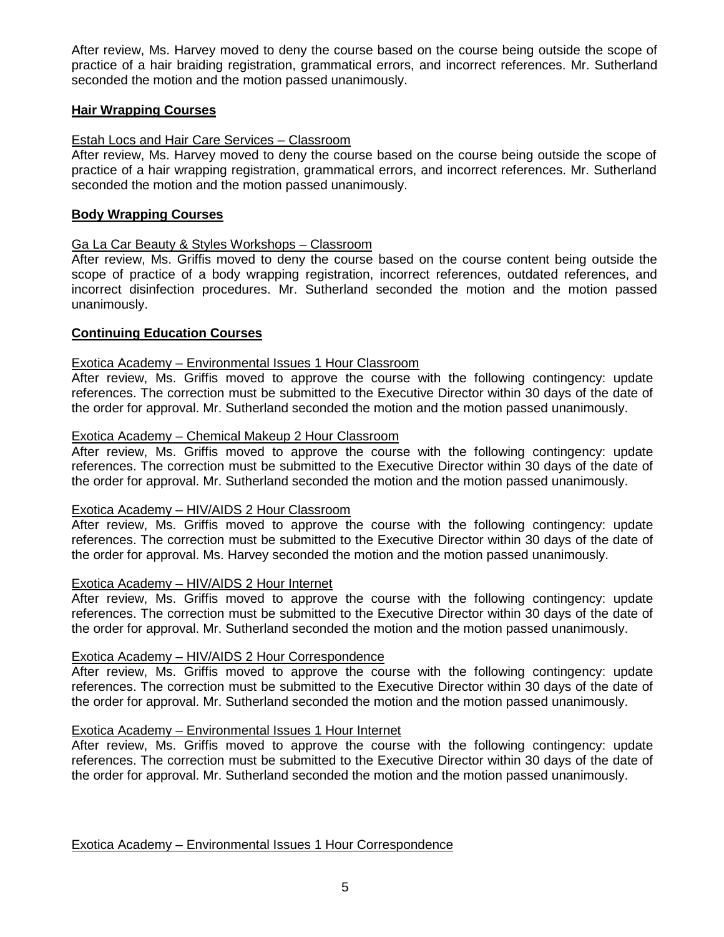After review, Ms. Harvey moved to deny the course based on the course being outside the scope of practice of a hair braiding registration, grammatical errors, and incorrect references. Mr. Sutherland seconded the motion and the motion passed unanimously.

## **Hair Wrapping Courses**

## Estah Locs and Hair Care Services – Classroom

After review, Ms. Harvey moved to deny the course based on the course being outside the scope of practice of a hair wrapping registration, grammatical errors, and incorrect references. Mr. Sutherland seconded the motion and the motion passed unanimously.

## **Body Wrapping Courses**

## Ga La Car Beauty & Styles Workshops – Classroom

After review, Ms. Griffis moved to deny the course based on the course content being outside the scope of practice of a body wrapping registration, incorrect references, outdated references, and incorrect disinfection procedures. Mr. Sutherland seconded the motion and the motion passed unanimously.

## **Continuing Education Courses**

## Exotica Academy – Environmental Issues 1 Hour Classroom

After review, Ms. Griffis moved to approve the course with the following contingency: update references. The correction must be submitted to the Executive Director within 30 days of the date of the order for approval. Mr. Sutherland seconded the motion and the motion passed unanimously.

#### Exotica Academy – Chemical Makeup 2 Hour Classroom

After review, Ms. Griffis moved to approve the course with the following contingency: update references. The correction must be submitted to the Executive Director within 30 days of the date of the order for approval. Mr. Sutherland seconded the motion and the motion passed unanimously.

#### Exotica Academy – HIV/AIDS 2 Hour Classroom

After review, Ms. Griffis moved to approve the course with the following contingency: update references. The correction must be submitted to the Executive Director within 30 days of the date of the order for approval. Ms. Harvey seconded the motion and the motion passed unanimously.

## Exotica Academy – HIV/AIDS 2 Hour Internet

After review, Ms. Griffis moved to approve the course with the following contingency: update references. The correction must be submitted to the Executive Director within 30 days of the date of the order for approval. Mr. Sutherland seconded the motion and the motion passed unanimously.

#### Exotica Academy – HIV/AIDS 2 Hour Correspondence

After review, Ms. Griffis moved to approve the course with the following contingency: update references. The correction must be submitted to the Executive Director within 30 days of the date of the order for approval. Mr. Sutherland seconded the motion and the motion passed unanimously.

## Exotica Academy – Environmental Issues 1 Hour Internet

After review, Ms. Griffis moved to approve the course with the following contingency: update references. The correction must be submitted to the Executive Director within 30 days of the date of the order for approval. Mr. Sutherland seconded the motion and the motion passed unanimously.

Exotica Academy – Environmental Issues 1 Hour Correspondence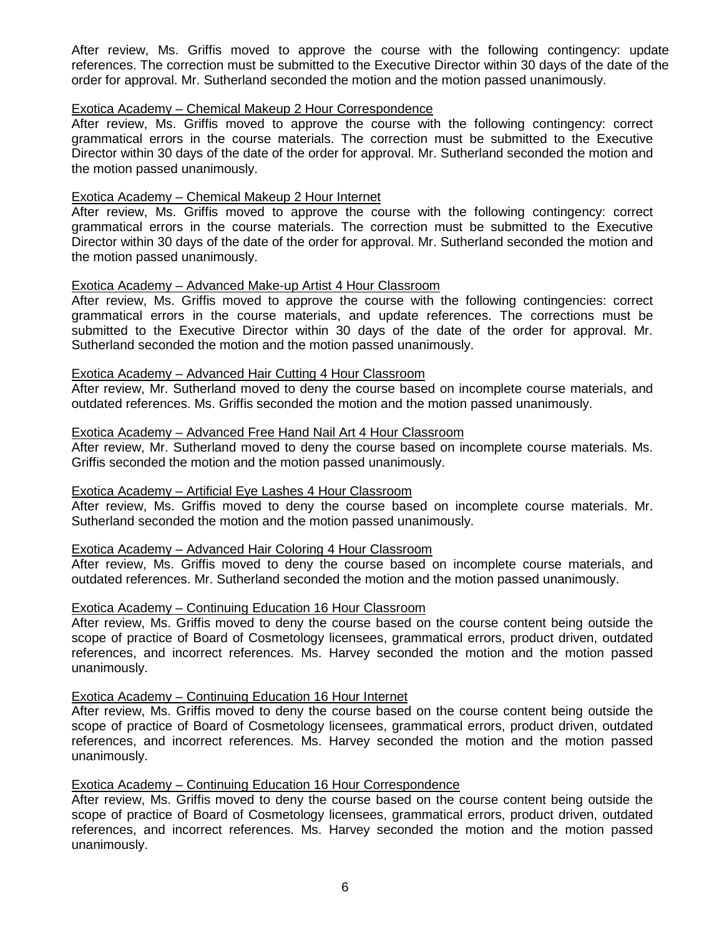After review, Ms. Griffis moved to approve the course with the following contingency: update references. The correction must be submitted to the Executive Director within 30 days of the date of the order for approval. Mr. Sutherland seconded the motion and the motion passed unanimously.

#### Exotica Academy – Chemical Makeup 2 Hour Correspondence

After review, Ms. Griffis moved to approve the course with the following contingency: correct grammatical errors in the course materials. The correction must be submitted to the Executive Director within 30 days of the date of the order for approval. Mr. Sutherland seconded the motion and the motion passed unanimously.

#### Exotica Academy – Chemical Makeup 2 Hour Internet

After review, Ms. Griffis moved to approve the course with the following contingency: correct grammatical errors in the course materials. The correction must be submitted to the Executive Director within 30 days of the date of the order for approval. Mr. Sutherland seconded the motion and the motion passed unanimously.

#### Exotica Academy – Advanced Make-up Artist 4 Hour Classroom

After review, Ms. Griffis moved to approve the course with the following contingencies: correct grammatical errors in the course materials, and update references. The corrections must be submitted to the Executive Director within 30 days of the date of the order for approval. Mr. Sutherland seconded the motion and the motion passed unanimously.

## Exotica Academy – Advanced Hair Cutting 4 Hour Classroom

After review, Mr. Sutherland moved to deny the course based on incomplete course materials, and outdated references. Ms. Griffis seconded the motion and the motion passed unanimously.

#### Exotica Academy – Advanced Free Hand Nail Art 4 Hour Classroom

After review, Mr. Sutherland moved to deny the course based on incomplete course materials. Ms. Griffis seconded the motion and the motion passed unanimously.

#### Exotica Academy – Artificial Eye Lashes 4 Hour Classroom

After review, Ms. Griffis moved to deny the course based on incomplete course materials. Mr. Sutherland seconded the motion and the motion passed unanimously.

#### Exotica Academy – Advanced Hair Coloring 4 Hour Classroom

After review, Ms. Griffis moved to deny the course based on incomplete course materials, and outdated references. Mr. Sutherland seconded the motion and the motion passed unanimously.

#### Exotica Academy – Continuing Education 16 Hour Classroom

After review, Ms. Griffis moved to deny the course based on the course content being outside the scope of practice of Board of Cosmetology licensees, grammatical errors, product driven, outdated references, and incorrect references. Ms. Harvey seconded the motion and the motion passed unanimously.

#### Exotica Academy – Continuing Education 16 Hour Internet

After review, Ms. Griffis moved to deny the course based on the course content being outside the scope of practice of Board of Cosmetology licensees, grammatical errors, product driven, outdated references, and incorrect references. Ms. Harvey seconded the motion and the motion passed unanimously.

#### Exotica Academy – Continuing Education 16 Hour Correspondence

After review, Ms. Griffis moved to deny the course based on the course content being outside the scope of practice of Board of Cosmetology licensees, grammatical errors, product driven, outdated references, and incorrect references. Ms. Harvey seconded the motion and the motion passed unanimously.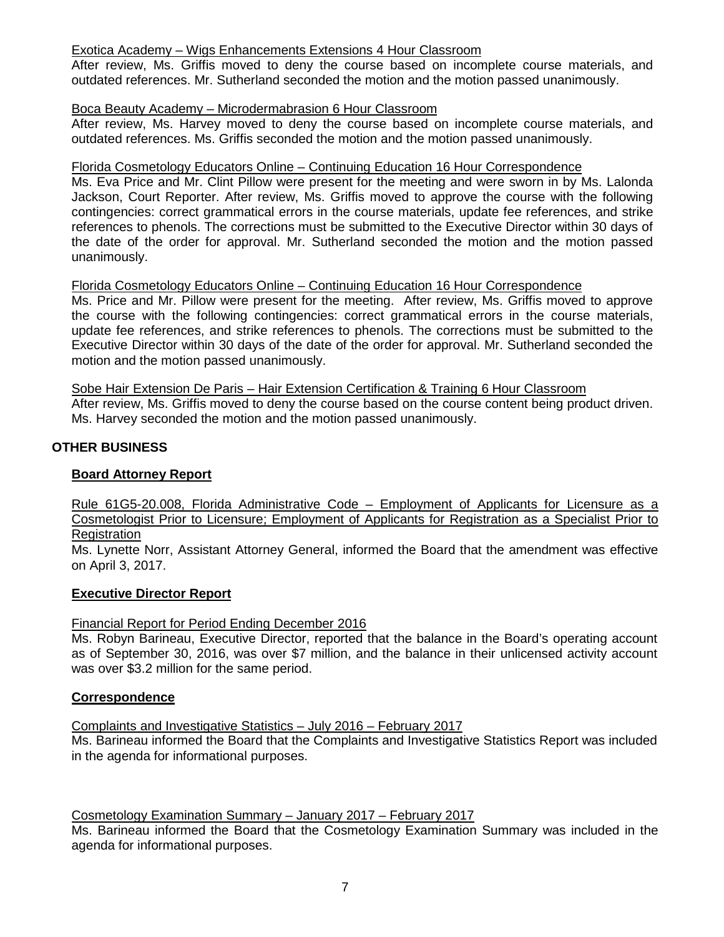## Exotica Academy – Wigs Enhancements Extensions 4 Hour Classroom

After review, Ms. Griffis moved to deny the course based on incomplete course materials, and outdated references. Mr. Sutherland seconded the motion and the motion passed unanimously.

## Boca Beauty Academy – Microdermabrasion 6 Hour Classroom

After review, Ms. Harvey moved to deny the course based on incomplete course materials, and outdated references. Ms. Griffis seconded the motion and the motion passed unanimously.

## Florida Cosmetology Educators Online – Continuing Education 16 Hour Correspondence

Ms. Eva Price and Mr. Clint Pillow were present for the meeting and were sworn in by Ms. Lalonda Jackson, Court Reporter. After review, Ms. Griffis moved to approve the course with the following contingencies: correct grammatical errors in the course materials, update fee references, and strike references to phenols. The corrections must be submitted to the Executive Director within 30 days of the date of the order for approval. Mr. Sutherland seconded the motion and the motion passed unanimously.

## Florida Cosmetology Educators Online – Continuing Education 16 Hour Correspondence

Ms. Price and Mr. Pillow were present for the meeting. After review, Ms. Griffis moved to approve the course with the following contingencies: correct grammatical errors in the course materials, update fee references, and strike references to phenols. The corrections must be submitted to the Executive Director within 30 days of the date of the order for approval. Mr. Sutherland seconded the motion and the motion passed unanimously.

Sobe Hair Extension De Paris – Hair Extension Certification & Training 6 Hour Classroom After review, Ms. Griffis moved to deny the course based on the course content being product driven. Ms. Harvey seconded the motion and the motion passed unanimously.

## **OTHER BUSINESS**

## **Board Attorney Report**

Rule 61G5-20.008, Florida Administrative Code – Employment of Applicants for Licensure as a Cosmetologist Prior to Licensure; Employment of Applicants for Registration as a Specialist Prior to **Registration** 

Ms. Lynette Norr, Assistant Attorney General, informed the Board that the amendment was effective on April 3, 2017.

#### **Executive Director Report**

## Financial Report for Period Ending December 2016

Ms. Robyn Barineau, Executive Director, reported that the balance in the Board's operating account as of September 30, 2016, was over \$7 million, and the balance in their unlicensed activity account was over \$3.2 million for the same period.

#### **Correspondence**

Complaints and Investigative Statistics – July 2016 – February 2017

Ms. Barineau informed the Board that the Complaints and Investigative Statistics Report was included in the agenda for informational purposes.

### Cosmetology Examination Summary – January 2017 – February 2017

Ms. Barineau informed the Board that the Cosmetology Examination Summary was included in the agenda for informational purposes.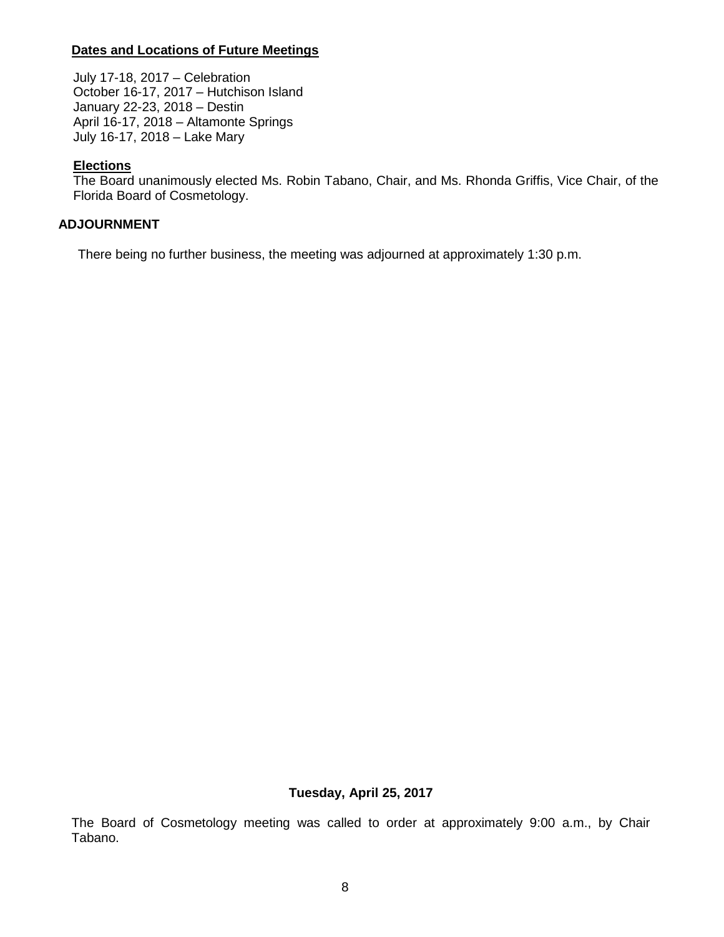## **Dates and Locations of Future Meetings**

July 17-18, 2017 – Celebration October 16-17, 2017 – Hutchison Island January 22-23, 2018 – Destin April 16-17, 2018 – Altamonte Springs July 16-17, 2018 – Lake Mary

## **Elections**

The Board unanimously elected Ms. Robin Tabano, Chair, and Ms. Rhonda Griffis, Vice Chair, of the Florida Board of Cosmetology.

## **ADJOURNMENT**

There being no further business, the meeting was adjourned at approximately 1:30 p.m.

#### **Tuesday, April 25, 2017**

The Board of Cosmetology meeting was called to order at approximately 9:00 a.m., by Chair Tabano.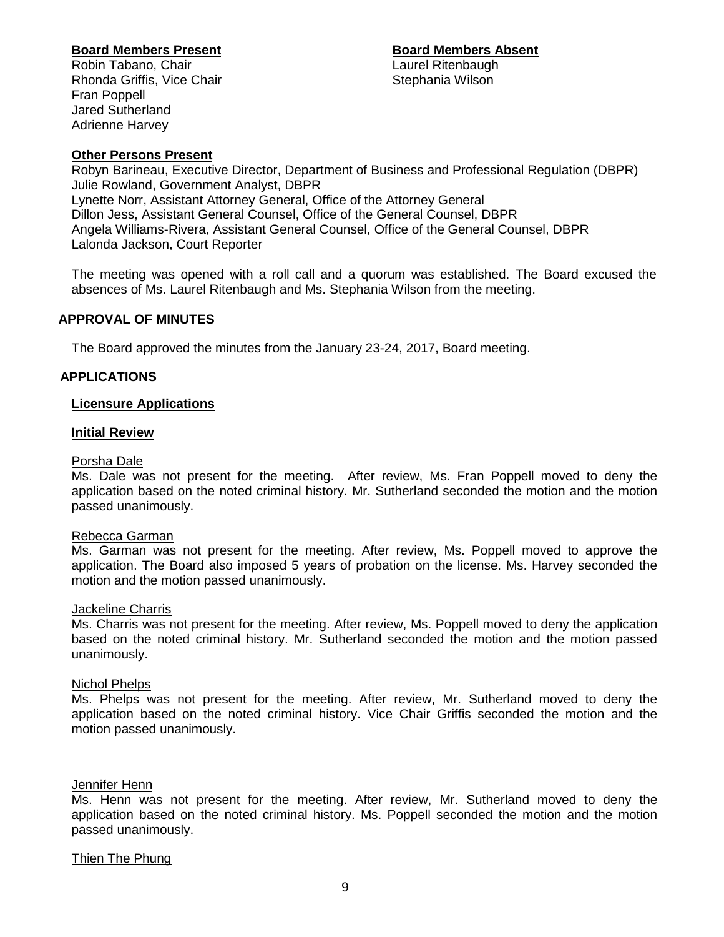**Board Members Present**<br> **Robin Tabano, Chair**<br> **Board Members Absent**<br>
Laurel Ritenbaugh

Robin Tabano, Chair Rhonda Griffis, Vice Chair **Stephania Wilson** Stephania Wilson Fran Poppell Jared Sutherland Adrienne Harvey

## **Other Persons Present**

Robyn Barineau, Executive Director, Department of Business and Professional Regulation (DBPR) Julie Rowland, Government Analyst, DBPR Lynette Norr, Assistant Attorney General, Office of the Attorney General Dillon Jess, Assistant General Counsel, Office of the General Counsel, DBPR Angela Williams-Rivera, Assistant General Counsel, Office of the General Counsel, DBPR Lalonda Jackson, Court Reporter

The meeting was opened with a roll call and a quorum was established. The Board excused the absences of Ms. Laurel Ritenbaugh and Ms. Stephania Wilson from the meeting.

## **APPROVAL OF MINUTES**

The Board approved the minutes from the January 23-24, 2017, Board meeting.

## **APPLICATIONS**

#### **Licensure Applications**

#### **Initial Review**

#### Porsha Dale

Ms. Dale was not present for the meeting. After review, Ms. Fran Poppell moved to deny the application based on the noted criminal history. Mr. Sutherland seconded the motion and the motion passed unanimously.

#### Rebecca Garman

Ms. Garman was not present for the meeting. After review, Ms. Poppell moved to approve the application. The Board also imposed 5 years of probation on the license. Ms. Harvey seconded the motion and the motion passed unanimously.

## Jackeline Charris

Ms. Charris was not present for the meeting. After review, Ms. Poppell moved to deny the application based on the noted criminal history. Mr. Sutherland seconded the motion and the motion passed unanimously.

### Nichol Phelps

Ms. Phelps was not present for the meeting. After review, Mr. Sutherland moved to deny the application based on the noted criminal history. Vice Chair Griffis seconded the motion and the motion passed unanimously.

#### Jennifer Henn

Ms. Henn was not present for the meeting. After review, Mr. Sutherland moved to deny the application based on the noted criminal history. Ms. Poppell seconded the motion and the motion passed unanimously.

#### Thien The Phung